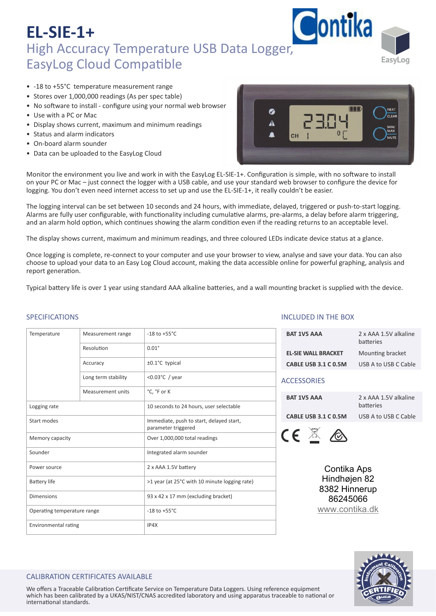

- -18 to +55°C temperature measurement range
- Stores over 1,000,000 readings (As per spec table)
- No software to install configure using your normal web browser
- Use with a PC or Mac
- Display shows current, maximum and minimum readings
- Status and alarm indicators
- On-board alarm sounder
- Data can be uploaded to the EasyLog Cloud



Monitor the environment you live and work in with the EasyLog EL-SIE-1+. Configuration is simple, with no software to install on your PC or Mac – just connect the logger with a USB cable, and use your standard web browser to configure the device for logging. You don't even need internet access to set up and use the EL‐SIE‐1+, it really couldn't be easier.

The logging interval can be set between 10 seconds and 24 hours, with immediate, delayed, triggered or push‐to‐start logging. Alarms are fully user configurable, with functionality including cumulative alarms, pre-alarms, a delay before alarm triggering, and an alarm hold option, which continues showing the alarm condition even if the reading returns to an acceptable level.

The display shows current, maximum and minimum readings, and three coloured LEDs indicate device status at a glance.

Once logging is complete, re-connect to your computer and use your browser to view, analyse and save your data. You can also choose to upload your data to an Easy Log Cloud account, making the data accessible online for powerful graphing, analysis and report generation.

Typical battery life is over 1 year using standard AAA alkaline batteries, and a wall mounting bracket is supplied with the device.

#### SPECIFICATIONS

| Temperature                 | Measurement range        | $-18$ to $+55^{\circ}$ C                                        |  |  |
|-----------------------------|--------------------------|-----------------------------------------------------------------|--|--|
|                             | Resolution               | $0.01^\circ$                                                    |  |  |
|                             | Accuracy                 | ±0.1°C typical                                                  |  |  |
|                             | Long term stability      | < $0.03$ °C / year                                              |  |  |
|                             | <b>Measurement units</b> | °C, °F or K                                                     |  |  |
| Logging rate                |                          | 10 seconds to 24 hours, user selectable                         |  |  |
| Start modes                 |                          | Immediate, push to start, delayed start,<br>parameter triggered |  |  |
| Memory capacity             |                          | Over 1,000,000 total readings                                   |  |  |
| Sounder                     |                          | Integrated alarm sounder                                        |  |  |
| Power source                |                          | 2 x AAA 1.5V battery                                            |  |  |
| <b>Battery life</b>         |                          | >1 year (at 25°C with 10 minute logging rate)                   |  |  |
| <b>Dimensions</b>           |                          | 93 x 42 x 17 mm (excluding bracket)                             |  |  |
| Operating temperature range |                          | $-18$ to $+55^{\circ}$ C                                        |  |  |
| Environmental rating        |                          | IP4X                                                            |  |  |

#### INCLUDED IN THE BOX

| <b>BAT 1V5 AAA</b>         | 2 x AAA 1.5V alkaline<br>batteries |  |  |
|----------------------------|------------------------------------|--|--|
| <b>EL-SIE WALL BRACKET</b> | Mounting bracket                   |  |  |
| CABLE USB 3.1 C 0.5M       | USB A to USB C Cable               |  |  |
| <b>ACCESSORIES</b>         |                                    |  |  |

#### ACCESSORIES

**BAT 1V5 AAA** 2 x AAA 1.5V alkaline **batteries CABLE USB 3.1 C 0.5M** USB A to USB C Cable



Contika Aps Hindhøjen 82 8382 Hinnerup 86245066 [www.contika.dk](https://www.contika.dk/datalogger/easylog-sie/)



#### CALIBRATION CERTIFICATES AVAILABLE

We offers a Traceable Calibration Certificate Service on Temperature Data Loggers. Using reference equipment which has been calibrated by a UKAS/NIST/CNAS accredited laboratory and using apparatus traceable to national or international standards.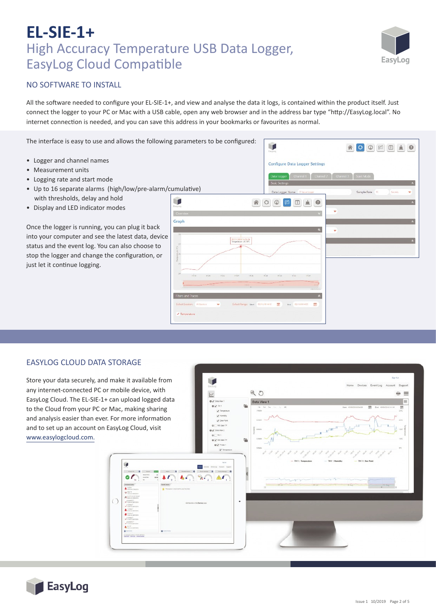# EasvLoo

### NO SOFTWARE TO INSTALL

All the software needed to configure your EL-SIE-1+, and view and analyse the data it logs, is contained within the product itself. Just connect the logger to your PC or Mac with a USB cable, open any web browser and in the address bar type "http://EasyLog.local". No internet connection is needed, and you can save this address in your bookmarks or favourites as normal.

The interface is easy to use and allows the following parameters to be configured:

- Logger and channel names
- Measurement units
- Logging rate and start mode
- Up to 16 separate alarms (high/low/pre-alarm/cumulative) with thresholds, delay and hold
- Display and LED indicator modes

Once the logger is running, you can plug it back into your computer and see the latest data, device status and the event log. You can also choose to stop the logger and change the configuration, or just let it continue logging.



#### EASYLOG CLOUD DATA STORAGE

Store your data securely, and make it available from any internet-connected PC or mobile device, with EasyLog Cloud. The EL‐SIE‐1+ can upload logged data to the Cloud from your PC or Mac, making sharing and analysis easier than ever. For more information and to set up an account on EasyLog Cloud, visit www.easylogcloud.com.

û

 $\bigcirc$ 

 $900$  $=$   $=$  $=$  $\circ$ ا پر ا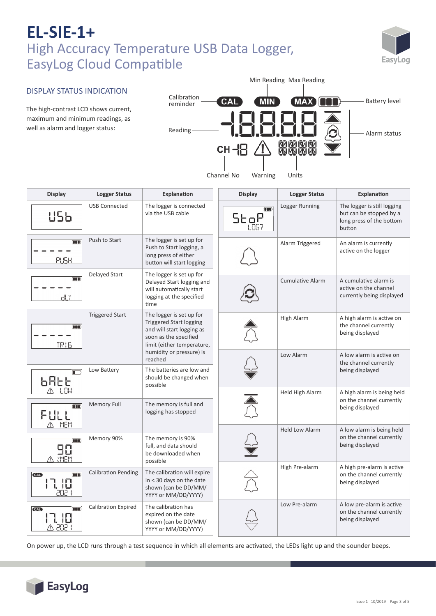

### DISPLAY STATUS INDICATION

The high-contrast LCD shows current, maximum and minimum readings, as well as alarm and logger status:



| <b>Display</b>                         | <b>Logger Status</b>       | Explanation                                                                                                                                                                           | <b>Display</b> | <b>Logger Status</b>    | Explanation                                                                                  |
|----------------------------------------|----------------------------|---------------------------------------------------------------------------------------------------------------------------------------------------------------------------------------|----------------|-------------------------|----------------------------------------------------------------------------------------------|
| U56                                    | <b>USB Connected</b>       | The logger is connected<br>via the USB cable                                                                                                                                          | <b>ODD</b>     | Logger Running          | The logger is still logging<br>but can be stopped by a<br>long press of the bottom<br>button |
| m<br>PUSH                              | Push to Start              | The logger is set up for<br>Push to Start logging, a<br>long press of either<br>button will start logging                                                                             |                | Alarm Triggered         | An alarm is currently<br>active on the logger                                                |
| <b>OOO</b><br>dLY                      | Delayed Start              | The logger is set up for<br>Delayed Start logging and<br>will automatically start<br>logging at the specified<br>time                                                                 |                | <b>Cumulative Alarm</b> | A cumulative alarm is<br>active on the channel<br>currently being displayed                  |
| <b>TID</b><br><b>TR16</b>              | <b>Triggered Start</b>     | The logger is set up for<br><b>Triggered Start logging</b><br>and will start logging as<br>soon as the specified<br>limit (either temperature,<br>humidity or pressure) is<br>reached |                | High Alarm              | A high alarm is active on<br>the channel currently<br>being displayed                        |
|                                        |                            |                                                                                                                                                                                       |                | Low Alarm               | A low alarm is active on<br>the channel currently                                            |
| <b>님님도</b><br>스 년에                     | Low Battery                | The batteries are low and<br>should be changed when<br>possible                                                                                                                       |                |                         | being displayed                                                                              |
| <b>TID</b><br>FULL<br>MEM              | Memory Full                | The memory is full and<br>logging has stopped                                                                                                                                         |                | Held High Alarm         | A high alarm is being held<br>on the channel currently<br>being displayed                    |
| m<br>90<br>A MEM                       | Memory 90%                 | The memory is 90%<br>full, and data should<br>be downloaded when<br>possible                                                                                                          |                | <b>Held Low Alarm</b>   | A low alarm is being held<br>on the channel currently<br>being displayed                     |
| $\Box$<br><b>CAL</b><br>17. IO<br>2021 | <b>Calibration Pending</b> | The calibration will expire<br>in < 30 days on the date<br>shown (can be DD/MM/<br>YYYY or MM/DD/YYYY)                                                                                |                | High Pre-alarm          | A high pre-alarm is active<br>on the channel currently<br>being displayed                    |
| <b>CAL</b><br>קחק א                    | <b>Calibration Expired</b> | The calibration has<br>expired on the date<br>shown (can be DD/MM/<br>YYYY or MM/DD/YYYY)                                                                                             |                | Low Pre-alarm           | A low pre-alarm is active<br>on the channel currently<br>being displayed                     |

On power up, the LCD runs through a test sequence in which all elements are ac�vated, the LEDs light up and the sounder beeps.

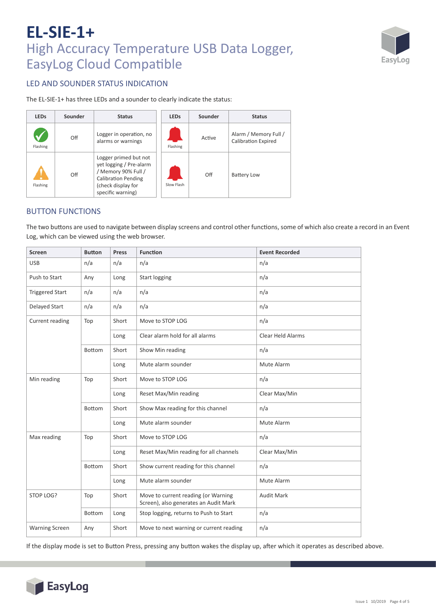

### LED AND SOUNDER STATUS INDICATION

The EL‐SIE‐1+ has three LEDs and a sounder to clearly indicate the status:

| <b>LEDs</b> | Sounder<br><b>Status</b> |                                                                                                                                                  | <b>LEDs</b> | Sounder | <b>Status</b>                                       |
|-------------|--------------------------|--------------------------------------------------------------------------------------------------------------------------------------------------|-------------|---------|-----------------------------------------------------|
| Flashing    | Off                      | Logger in operation, no<br>alarms or warnings                                                                                                    | Flashing    | Active  | Alarm / Memory Full /<br><b>Calibration Expired</b> |
| Flashing    | Off                      | Logger primed but not<br>yet logging / Pre-alarm<br>/ Memory 90% Full /<br><b>Calibration Pending</b><br>(check display for<br>specific warning) | Slow Flash  | Off     | <b>Battery Low</b>                                  |

### BUTTON FUNCTIONS

The two buttons are used to navigate between display screens and control other functions, some of which also create a record in an Event Log, which can be viewed using the web browser.

| <b>Screen</b>          | <b>Function</b><br><b>Button</b><br>Press |       | <b>Event Recorded</b>                                                        |                   |
|------------------------|-------------------------------------------|-------|------------------------------------------------------------------------------|-------------------|
| <b>USB</b>             | n/a                                       | n/a   | n/a                                                                          | n/a               |
| Push to Start          | Any                                       | Long  | <b>Start logging</b>                                                         | n/a               |
| <b>Triggered Start</b> | n/a                                       | n/a   | n/a                                                                          | n/a               |
| Delayed Start          | n/a                                       | n/a   | n/a                                                                          | n/a               |
| Current reading        | Top                                       | Short | Move to STOP LOG                                                             | n/a               |
|                        |                                           | Long  | Clear alarm hold for all alarms                                              | Clear Held Alarms |
|                        | <b>Bottom</b>                             | Short | Show Min reading                                                             | n/a               |
|                        |                                           | Long  | Mute alarm sounder                                                           | Mute Alarm        |
| Min reading            | Top                                       | Short | Move to STOP LOG                                                             | n/a               |
|                        |                                           | Long  | Reset Max/Min reading                                                        | Clear Max/Min     |
|                        | <b>Bottom</b>                             | Short | Show Max reading for this channel                                            | n/a               |
|                        |                                           | Long  | Mute alarm sounder                                                           | Mute Alarm        |
| Max reading            | Top                                       | Short | Move to STOP LOG                                                             | n/a               |
|                        |                                           | Long  | Reset Max/Min reading for all channels                                       | Clear Max/Min     |
|                        | <b>Bottom</b>                             | Short | Show current reading for this channel                                        | n/a               |
|                        |                                           | Long  | Mute alarm sounder                                                           | Mute Alarm        |
| STOP LOG?              | Top                                       | Short | Move to current reading (or Warning<br>Screen), also generates an Audit Mark | <b>Audit Mark</b> |
|                        | Bottom                                    | Long  | Stop logging, returns to Push to Start                                       | n/a               |
| <b>Warning Screen</b>  | Any                                       | Short | Move to next warning or current reading                                      | n/a               |

If the display mode is set to Button Press, pressing any button wakes the display up, after which it operates as described above.